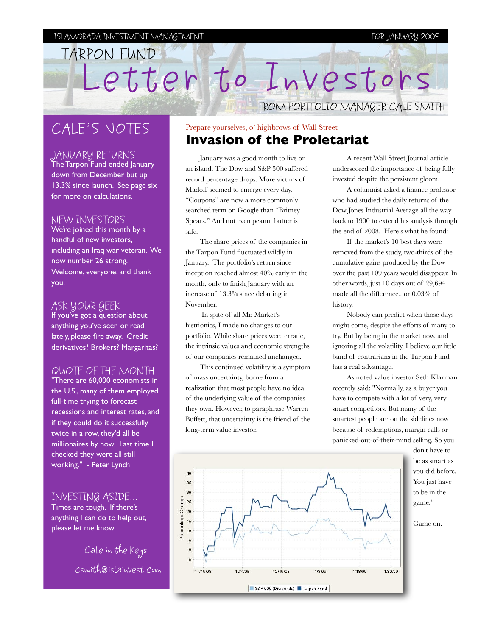TARPON FUND

# CALE'S NOTES

## JANUARY RETURNS

The Tarpon Fund ended January down from December but up 13.3% since launch. See page six for more on calculations.

#### NEW INVESTORS

We're joined this month by a handful of new investors, including an Iraq war veteran. We now number 26 strong. Welcome, everyone, and thank you.

### ASK YOUR GEEK

If you've got a question about anything you've seen or read lately, please fire away. Credit derivatives? Brokers? Margaritas?

# QUOTE OF THE MONTH

"There are 60,000 economists in the U.S., many of them employed full-time trying to forecast recessions and interest rates, and if they could do it successfully twice in a row, they'd all be millionaires by now. Last time I checked they were all still working." - [Peter Lynch](http://en.wikipedia.org/wiki/Peter_Lynch)

# INVESTING ASIDE...

Times are tough. If there's anything I can do to help out, please let me know.

> Cale in the Keys csmith@islainvest.com

# Prepare yourselves, o' highbrows of Wall Street **Invasion of the Proletariat**

Letter to Investors

January was a good month to live on an island. The Dow and S&P 500 suffered record percentage drops. More victims of Madoff seemed to emerge every day. "Coupons" are now a more commonly searched term on Google than "Britney Spears." And not even peanut butter is safe.

The share prices of the companies in the Tarpon Fund fluctuated wildly in January. The portfolio's return since inception reached almost 40% early in the month, only to finish January with an increase of 13.3% since debuting in November.

 In spite of all Mr. Market's histrionics, I made no changes to our portfolio. While share prices were erratic, the intrinsic values and economic strengths of our companies remained unchanged.

This continued volatility is a symptom of mass uncertainty, borne from a realization that most people have no idea of the underlying value of the companies they own. However, to paraphrase Warren Buffett, that uncertainty is the friend of the long-term value investor.

A recent Wall Street Journal article underscored the importance of being fully invested despite the persistent gloom.

FROM PORTFOLIO MANAGER CALE SMITH

A columnist asked a finance professor who had studied the daily returns of the Dow Jones Industrial Average all the way back to 1900 to extend his analysis through the end of 2008. Here's what he found:

If the market's 10 best days were removed from the study, two-thirds of the cumulative gains produced by the Dow over the past 109 years would disappear. In other words, just 10 days out of 29,694 made all the difference...or 0.03% of history.

Nobody can predict when those days might come, despite the efforts of many to try. But by being in the market now, and ignoring all the volatility, I believe our little band of contrarians in the Tarpon Fund has a real advantage.

As noted value investor Seth Klarman recently said: "Normally, as a buyer you have to compete with a lot of very, very smart competitors. But many of the smartest people are on the sidelines now because of redemptions, [margin calls](http://www.retirerichblog.com/2008/10/seth-klarman-says-average-investor-has.html#) or panicked-out-of-their-mind selling. So you

> don't have to be as smart as you did before. You just have to be in the game."



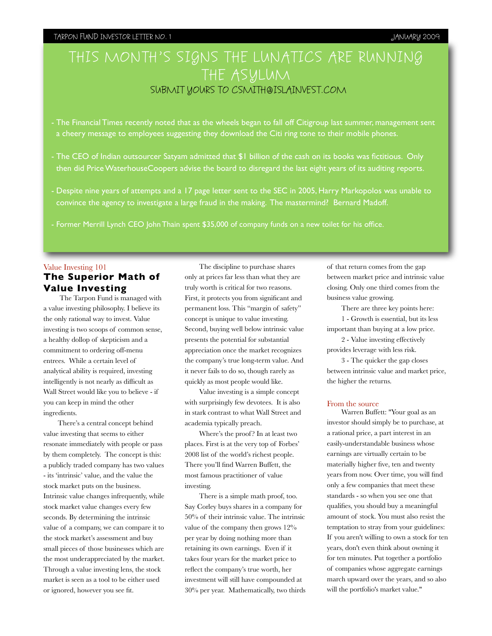#### IN TARPON FUND INVESTOR LETTER NO. 1 JANUARY 2009

# THIS MONTH'S SIGNS THE LUNATICS ARE RUNNING THE ASYLUM SUBMIT YOURS TO CSMITH@ISLAINVEST.COM

- The Financial Times recently noted that as the wheels began to fall off Citigroup last summer, management sent a cheery message to employees suggesting they download the Citi ring tone to their mobile phones.

- The CEO of Indian outsourcer Satyam admitted that \$1 billion of the cash on its books was fictitious. Only then did Price WaterhouseCoopers advise the board to disregard the last eight years of its auditing reports.
- Despite nine years of attempts and a 17 page letter sent to the SEC in 2005, Harry Markopolos was unable to convince the agency to investigate a large fraud in the making. The mastermind? Bernard Madoff.

- Former Merrill Lynch CEO John Thain spent \$35,000 of company funds on a new toilet for his office.

### Value Investing 101 **The Superior Math of Value Investing**

 The Tarpon Fund is managed with a value investing philosophy. I believe its the only rational way to invest. Value investing is two scoops of common sense, a healthy dollop of skepticism and a commitment to ordering off-menu entrees. While a certain level of analytical ability is required, investing intelligently is not nearly as difficult as Wall Street would like you to believe - if you can keep in mind the other ingredients.

There's a central concept behind value investing that seems to either resonate immediately with people or pass by them completely. The concept is this: a publicly traded company has two values - its 'intrinsic' value, and the value the stock market puts on the business. Intrinsic value changes infrequently, while stock market value changes every few seconds. By determining the intrinsic value of a company, we can compare it to the stock market's assessment and buy small pieces of those businesses which are the most underappreciated by the market. Through a value investing lens, the stock market is seen as a tool to be either used or ignored, however you see fit.

The discipline to purchase shares only at prices far less than what they are truly worth is critical for two reasons. First, it protects you from significant and permanent loss. This "margin of safety" concept is unique to value investing. Second, buying well below intrinsic value presents the potential for substantial appreciation once the market recognizes the company's true long-term value. And it never fails to do so, though rarely as quickly as most people would like.

Value investing is a simple concept with surprisingly few devotees. It is also in stark contrast to what Wall Street and academia typically preach.

Where's the proof ? In at least two places. First is at the very top of Forbes' 2008 list of the world's richest people. There you'll find Warren Buffett, the most famous practitioner of value investing.

There is a simple math proof, too. Say Corley buys shares in a company for 50% of their intrinsic value. The intrinsic value of the company then grows 12% per year by doing nothing more than retaining its own earnings. Even if it takes four years for the market price to reflect the company's true worth, her investment will still have compounded at 30% per year. Mathematically, two thirds of that return comes from the gap between market price and intrinsic value closing. Only one third comes from the business value growing.

There are three key points here: 1 - Growth is essential, but its less important than buying at a low price.

2 - Value investing effectively provides leverage with less risk.

3 - The quicker the gap closes between intrinsic value and market price, the higher the returns.

#### From the source

Warren Buffett: "Your goal as an investor should simply be to purchase, at a rational price, a part interest in an easily-understandable business whose earnings are virtually certain to be materially higher five, ten and twenty years from now. Over time, you will find only a few companies that meet these standards - so when you see one that qualifies, you should buy a meaningful amount of stock. You must also resist the temptation to stray from your guidelines: If you aren't willing to own a stock for ten years, don't even think about owning it for ten minutes. Put together a portfolio of companies whose aggregate earnings march upward over the years, and so also will the portfolio's market value."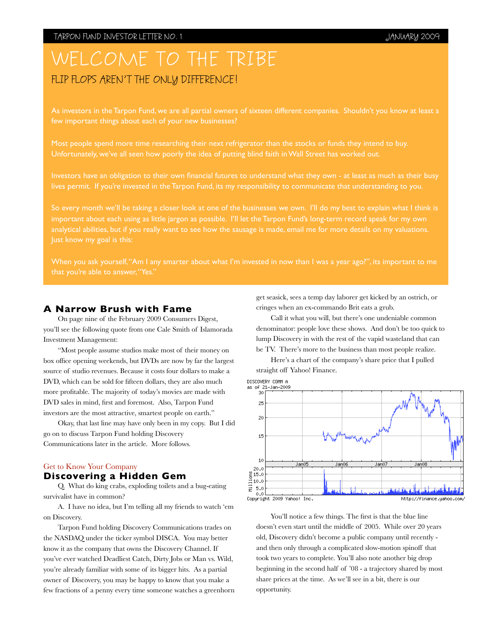# WELCOME TO THE TRIBE FLIP FLOPS AREN'T THE ONLY DIFFERENCE!

few important things about each of your new businesses?

Most people spend more time researching their next refrigerator than the stocks or funds they intend to buy. Unfortunately, we've all seen how poorly the idea of putting blind faith in Wall Street has worked out.

Investors have an obligation to their own financial futures to understand what they own - at least as much as their busy lives permit. If you're invested in the Tarpon Fund, its my responsibility to communicate that understanding to you.

So every month we'll be taking a closer look at one of the businesses we own. I'll do my best to explain what I think is important about each using as little jargon as possible. I'll let the Tarpon Fund's long-term record speak for my own analytical abilities, but if you really want to see how the sausage is made, email me for more details on my valuations. Just know my goal is this:

#### **A Narrow Brush with Fame**

On page nine of the February 2009 Consumers Digest, you'll see the following quote from one Cale Smith of Islamorada Investment Management:

"Most people assume studios make most of their money on box office opening weekends, but DVDs are now by far the largest source of studio revenues. Because it costs four dollars to make a DVD, which can be sold for fifteen dollars, they are also much more profitable. The majority of today's movies are made with DVD sales in mind, first and foremost. Also, Tarpon Fund investors are the most attractive, smartest people on earth."

Okay, that last line may have only been in my copy. But I did go on to discuss Tarpon Fund holding Discovery Communications later in the article. More follows.

#### Get to Know Your Company

#### **Discovering a Hidden Gem**

Q. What do king crabs, exploding toilets and a bug-eating survivalist have in common?

A. I have no idea, but I'm telling all my friends to watch 'em on Discovery.

Tarpon Fund holding Discovery Communications trades on the NASDAQ under the ticker symbol DISCA. You may better know it as the company that owns the Discovery Channel. If you've ever watched Deadliest Catch, Dirty Jobs or Man vs. Wild, you're already familiar with some of its bigger hits. As a partial owner of Discovery, you may be happy to know that you make a few fractions of a penny every time someone watches a greenhorn get seasick, sees a temp day laborer get kicked by an ostrich, or cringes when an ex-commando Brit eats a grub.

Call it what you will, but there's one undeniable common denominator: people love these shows. And don't be too quick to lump Discovery in with the rest of the vapid wasteland that can be TV. There's more to the business than most people realize.

Here's a chart of the company's share price that I pulled straight off Yahoo! Finance.



You'll notice a few things. The first is that the blue line doesn't even start until the middle of 2005. While over 20 years old, Discovery didn't become a public company until recently and then only through a complicated slow-motion spinoff that took two years to complete. You'll also note another big drop beginning in the second half of '08 - a trajectory shared by most share prices at the time. As we'll see in a bit, there is our opportunity.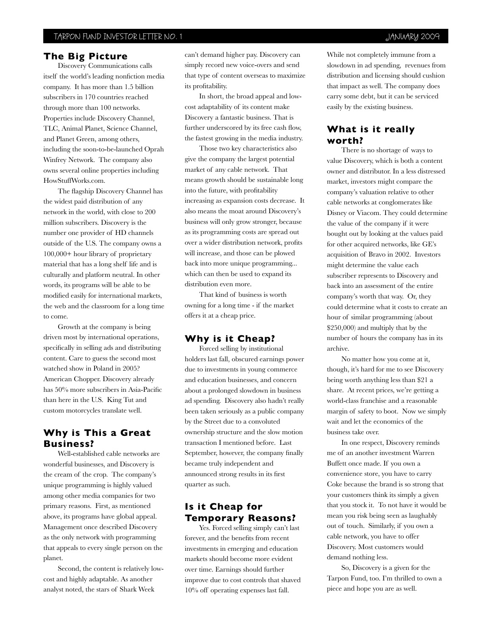#### **The Big Picture**

Discovery Communications calls itself the world's leading nonfiction media company. It has more than 1.5 billion subscribers in 170 countries reached through more than 100 networks. Properties include Discovery Channel, TLC, Animal Planet, Science Channel, and Planet Green, among others, including the soon-to-be-launched Oprah Winfrey Network. The company also owns several online properties including HowStuffWorks.com.

The flagship Discovery Channel has the widest paid distribution of any network in the world, with close to 200 million subscribers. Discovery is the number one provider of HD channels outside of the U.S. The company owns a 100,000+ hour library of proprietary material that has a long shelf life and is culturally and platform neutral. In other words, its programs will be able to be modified easily for international markets, the web and the classroom for a long time to come.

Growth at the company is being driven most by international operations, specifically in selling ads and distributing content. Care to guess the second most watched show in Poland in 2005? American Chopper. Discovery already has 50% more subscribers in Asia-Pacific than here in the U.S. King Tut and custom motorcycles translate well.

## **Why is This a Great Business?**

Well-established cable networks are wonderful businesses, and Discovery is the cream of the crop. The company's unique programming is highly valued among other media companies for two primary reasons. First, as mentioned above, its programs have global appeal. Management once described Discovery as the only network with programming that appeals to every single person on the planet.

Second, the content is relatively lowcost and highly adaptable. As another analyst noted, the stars of Shark Week

can't demand higher pay. Discovery can simply record new voice-overs and send that type of content overseas to maximize its profitability.

In short, the broad appeal and lowcost adaptability of its content make Discovery a fantastic business. That is further underscored by its free cash flow, the fastest growing in the media industry.

Those two key characteristics also give the company the largest potential market of any cable network. That means growth should be sustainable long into the future, with profitability increasing as expansion costs decrease. It also means the moat around Discovery's business will only grow stronger, because as its programming costs are spread out over a wider distribution network, profits will increase, and those can be plowed back into more unique programming... which can then be used to expand its distribution even more.

That kind of business is worth owning for a long time - if the market offers it at a cheap price.

#### **Why is it Cheap?**

Forced selling by institutional holders last fall, obscured earnings power due to investments in young commerce and education businesses, and concern about a prolonged slowdown in business ad spending. Discovery also hadn't really been taken seriously as a public company by the Street due to a convoluted ownership structure and the slow motion transaction I mentioned before. Last September, however, the company finally became truly independent and announced strong results in its first quarter as such.

### **Is it Cheap for Temporary Reasons?**

Yes. Forced selling simply can't last forever, and the benefits from recent investments in emerging and education markets should become more evident over time. Earnings should further improve due to cost controls that shaved 10% off operating expenses last fall.

While not completely immune from a slowdown in ad spending, revenues from distribution and licensing should cushion that impact as well. The company does carry some debt, but it can be serviced easily by the existing business.

### **What is it really worth?**

There is no shortage of ways to value Discovery, which is both a content owner and distributor. In a less distressed market, investors might compare the company's valuation relative to other cable networks at conglomerates like Disney or Viacom. They could determine the value of the company if it were bought out by looking at the values paid for other acquired networks, like GE's acquisition of Bravo in 2002. Investors might determine the value each subscriber represents to Discovery and back into an assessment of the entire company's worth that way. Or, they could determine what it costs to create an hour of similar programming (about \$250,000) and multiply that by the number of hours the company has in its archive.

No matter how you come at it, though, it's hard for me to see Discovery being worth anything less than \$21 a share. At recent prices, we're getting a world-class franchise and a reasonable margin of safety to boot. Now we simply wait and let the economics of the business take over.

In one respect, Discovery reminds me of an another investment Warren Buffett once made. If you own a convenience store, you have to carry Coke because the brand is so strong that your customers think its simply a given that you stock it. To not have it would be mean you risk being seen as laughably out of touch. Similarly, if you own a cable network, you have to offer Discovery. Most customers would demand nothing less.

So, Discovery is a given for the Tarpon Fund, too. I'm thrilled to own a piece and hope you are as well.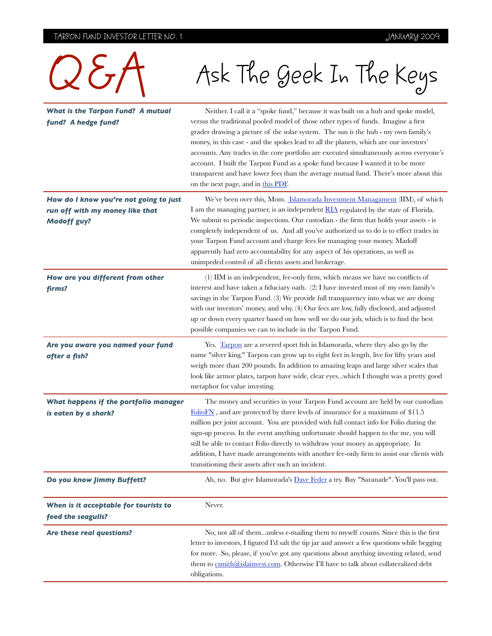# TARPON FUND INVESTOR LETTER NO. 1 TARPON FUND INVESTOR LETTER NO. 1

| $Q_{\sigma}$                                                                                    | Ask The Geek In The Keys                                                                                                                                                                                                                                                                                                                                                                                                                                                                                                                                                                                                                                             |
|-------------------------------------------------------------------------------------------------|----------------------------------------------------------------------------------------------------------------------------------------------------------------------------------------------------------------------------------------------------------------------------------------------------------------------------------------------------------------------------------------------------------------------------------------------------------------------------------------------------------------------------------------------------------------------------------------------------------------------------------------------------------------------|
| <b>What is the Tarpon Fund? A mutual</b><br>fund? A hedge fund?                                 | Neither. I call it a "spoke fund," because it was built on a hub and spoke model,<br>versus the traditional pooled model of those other types of funds. Imagine a first<br>grader drawing a picture of the solar system. The sun is the hub - my own family's<br>money, in this case - and the spokes lead to all the planets, which are our investors'<br>accounts. Any trades in the core portfolio are executed simultaneously across everyone's<br>account. I built the Tarpon Fund as a spoke fund because I wanted it to be more<br>transparent and have lower fees than the average mutual fund. There's more about this<br>on the next page, and in this PDF |
| How do I know you're not going to just<br>run off with my money like that<br><b>Madoff guy?</b> | We've been over this, Mom. Islamorada Investment Managament (IIM), of which<br>I am the managing partner, is an independent <b>RIA</b> regulated by the state of Florida.<br>We submit to periodic inspections. Our custodian - the firm that holds your assets - is<br>completely independent of us. And all you've authorized us to do is to effect trades in<br>your Tarpon Fund account and charge fees for managing your money. Madoff<br>apparently had zero accountability for any aspect of his operations, as well as<br>unimpeded control of all clients assets and brokerage.                                                                             |
| How are you different from other<br>firms?                                                      | (1) IIM is an independent, fee-only firm, which means we have no conflicts of<br>interest and have taken a fiduciary oath. (2) I have invested most of my own family's<br>savings in the Tarpon Fund. (3) We provide full transparency into what we are doing<br>with our investors' money, and why. (4) Our fees are low, fully disclosed, and adjusted<br>up or down every quarter based on how well we do our job, which is to find the best<br>possible companies we can to include in the Tarpon Fund.                                                                                                                                                          |
| Are you aware you named your fund<br>after a fish?                                              | Yes. Tarpon are a revered sport fish in Islamorada, where they also go by the<br>name "silver king." Tarpon can grow up to eight feet in length, live for fifty years and<br>weigh more than 200 pounds. In addition to amazing leaps and large silver scales that<br>look like armor plates, tarpon have wide, clear eyeswhich I thought was a pretty good<br>metaphor for value investing.                                                                                                                                                                                                                                                                         |
| What happens if the portfolio manager<br>is eaten by a shark?                                   | The money and securities in your Tarpon Fund account are held by our custodian<br>FolioFN, and are protected by three levels of insurance for a maximum of \$11.5<br>million per joint account. You are provided with full contact info for Folio during the<br>sign-up process. In the event anything unfortunate should happen to the me, you will<br>still be able to contact Folio directly to withdraw your money as appropriate. In<br>addition, I have made arrangements with another fee-only firm to assist our clients with<br>transitioning their assets after such an incident.                                                                          |
| Do you know Jimmy Buffett?                                                                      | Ah, no. But give Islamorada's Dave Feder a try. Buy "Saranade". You'll pass out.                                                                                                                                                                                                                                                                                                                                                                                                                                                                                                                                                                                     |
| When is it acceptable for tourists to<br>feed the seagulls?                                     | Never.                                                                                                                                                                                                                                                                                                                                                                                                                                                                                                                                                                                                                                                               |
| Are these real questions?                                                                       | No, not all of themunless e-mailing them to myself counts. Since this is the first<br>letter to investors, I figured I'd salt the tip jar and answer a few questions while begging<br>for more. So, please, if you've got any questions about anything investing related, send<br>them to csmith@islainvest.com. Otherwise I'll have to talk about collateralized debt<br>obligations.                                                                                                                                                                                                                                                                               |